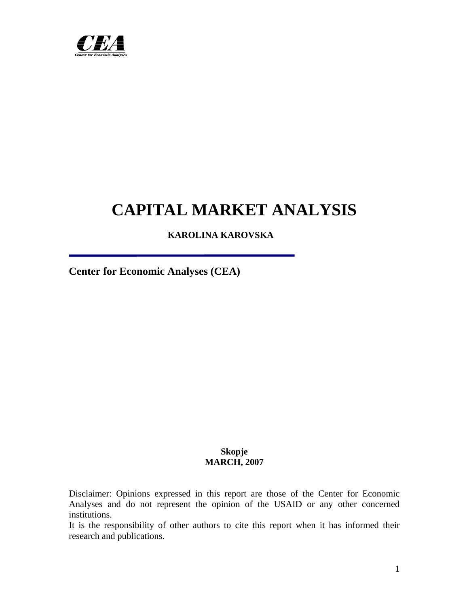

# **CAPITAL MARKET ANALYSIS**

 **KAROLINA KAROVSKA** 

**Center for Economic Analyses (CEA)** 

# **Skopje MARCH, 2007**

Disclaimer: Opinions expressed in this report are those of the Center for Economic Analyses and do not represent the opinion of the USAID or any other concerned institutions.

It is the responsibility of other authors to cite this report when it has informed their research and publications.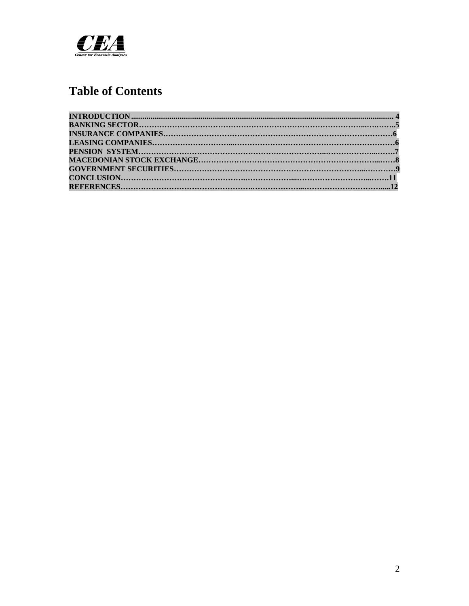

# **Table of Contents**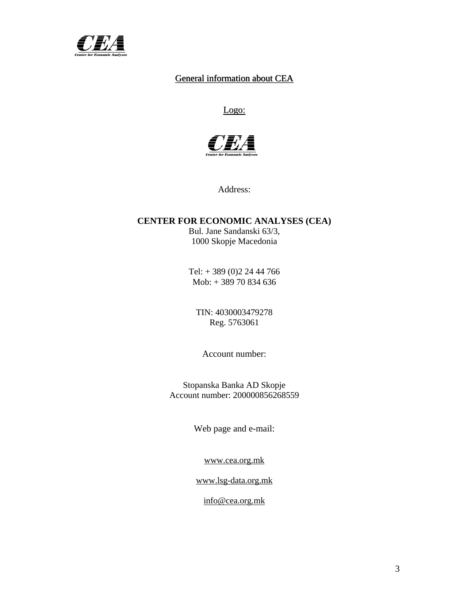

# General information about CEA

# Logo:



Address:

# **CENTER FOR ECONOMIC ANALYSES (CEA)**

Bul. Jane Sandanski 63/3, 1000 Skopje Macedonia

Tel: + 389 (0)2 24 44 766 Mob: + 389 70 834 636

TIN: 4030003479278 Reg. 5763061

Account number:

Stopanska Banka AD Skopje Account number: 200000856268559

Web page and e-mail:

[www.cea.org.mk](http://www.cea.org.mk/)

[www.lsg-data.org.mk](http://www.lsg-data.org.mk/)

[info@cea.org.mk](mailto:info@cea.org.mk)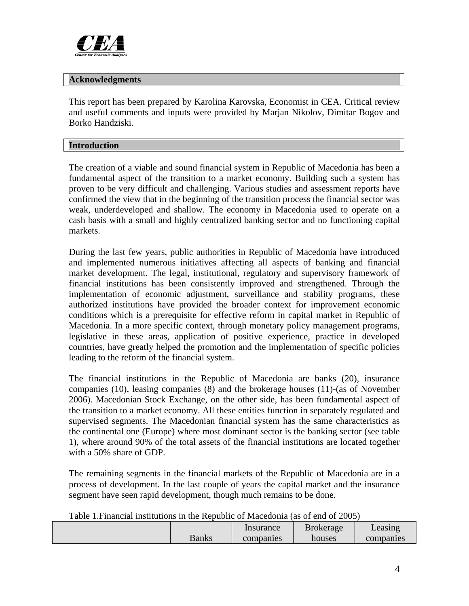<span id="page-3-0"></span>

# **Acknowledgments**

This report has been prepared by Karolina Karovska, Economist in CEA. Critical review and useful comments and inputs were provided by Marjan Nikolov, Dimitar Bogov and Borko Handziski.

# **Introduction**

The creation of a viable and sound financial system in Republic of Macedonia has been a fundamental aspect of the transition to a market economy. Building such a system has proven to be very difficult and challenging. Various studies and assessment reports have confirmed the view that in the beginning of the transition process the financial sector was weak, underdeveloped and shallow. The economy in Macedonia used to operate on a cash basis with a small and highly centralized banking sector and no functioning capital markets.

During the last few years, public authorities in Republic of Macedonia have introduced and implemented numerous initiatives affecting all aspects of banking and financial market development. The legal, institutional, regulatory and supervisory framework of financial institutions has been consistently improved and strengthened. Through the implementation of economic adjustment, surveillance and stability programs, these authorized institutions have provided the broader context for improvement economic conditions which is a prerequisite for effective reform in capital market in Republic of Macedonia. In a more specific context, through monetary policy management programs, legislative in these areas, application of positive experience, practice in developed countries, have greatly helped the promotion and the implementation of specific policies leading to the reform of the financial system.

The financial institutions in the Republic of Macedonia are banks (20), insurance companies (10), leasing companies (8) and the brokerage houses (11)-(as of November 2006). Macedonian Stock Exchange, on the other side, has been fundamental aspect of the transition to a market economy. All these entities function in separately regulated and supervised segments. The Macedonian financial system has the same characteristics as the continental one (Europe) where most dominant sector is the banking sector (see table 1), where around 90% of the total assets of the financial institutions are located together with a 50% share of GDP.

The remaining segments in the financial markets of the Republic of Macedonia are in a process of development. In the last couple of years the capital market and the insurance segment have seen rapid development, though much remains to be done.

|  | Table 1. Financial institutions in the Republic of Macedonia (as of end of 2005) |
|--|----------------------------------------------------------------------------------|
|--|----------------------------------------------------------------------------------|

|       | Insurance | <b>Brokerage</b> | Leasing   |
|-------|-----------|------------------|-----------|
| Banks | companies | houses           | companies |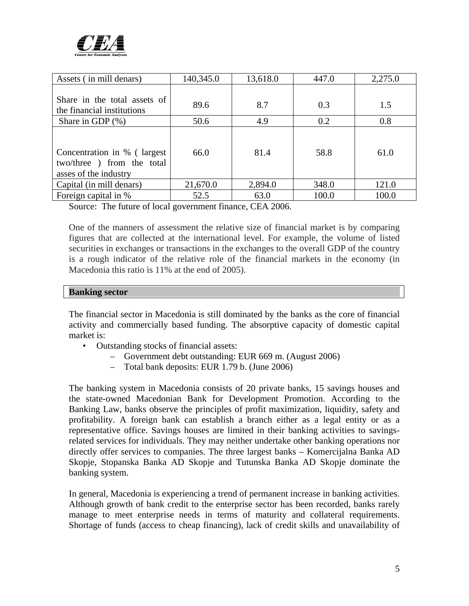

| Assets (in mill denars)                                                            | 140,345.0 | 13,618.0 | 447.0 | 2,275.0 |
|------------------------------------------------------------------------------------|-----------|----------|-------|---------|
| Share in the total assets of                                                       |           |          |       |         |
| the financial institutions                                                         | 89.6      | 8.7      | 0.3   | 1.5     |
| Share in GDP $(\%)$                                                                | 50.6      | 4.9      | 0.2   | 0.8     |
| Concentration in % (largest<br>two/three ) from the total<br>asses of the industry | 66.0      | 81.4     | 58.8  | 61.0    |
| Capital (in mill denars)                                                           | 21,670.0  | 2,894.0  | 348.0 | 121.0   |
| Foreign capital in %                                                               | 52.5      | 63.0     | 100.0 | 100.0   |

Source: The future of local government finance, CEA 2006.

One of the manners of assessment the relative size of financial market is by comparing figures that are collected at the international level. For example, the volume of listed securities in exchanges or transactions in the exchanges to the overall GDP of the country is a rough indicator of the relative role of the financial markets in the economy (in Macedonia this ratio is 11% at the end of 2005).

# **Banking sector**

The financial sector in Macedonia is still dominated by the banks as the core of financial activity and commercially based funding. The absorptive capacity of domestic capital market is:

- Outstanding stocks of financial assets:
	- Government debt outstanding: EUR 669 m. (August 2006)
	- Total bank deposits: EUR 1.79 b. (June 2006)

The banking system in Macedonia consists of 20 private banks, 15 savings houses and the state-owned Macedonian Bank for Development Promotion. According to the Banking Law, banks observe the principles of profit maximization, liquidity, safety and profitability. A foreign bank can establish a branch either as a legal entity or as a representative office. Savings houses are limited in their banking activities to savingsrelated services for individuals. They may neither undertake other banking operations nor directly offer services to companies. The three largest banks – Komercijalna Banka AD Skopje, Stopanska Banka AD Skopje and Tutunska Banka AD Skopje dominate the banking system.

In general, Macedonia is experiencing a trend of permanent increase in banking activities. Although growth of bank credit to the enterprise sector has been recorded, banks rarely manage to meet enterprise needs in terms of maturity and collateral requirements. Shortage of funds (access to cheap financing), lack of credit skills and unavailability of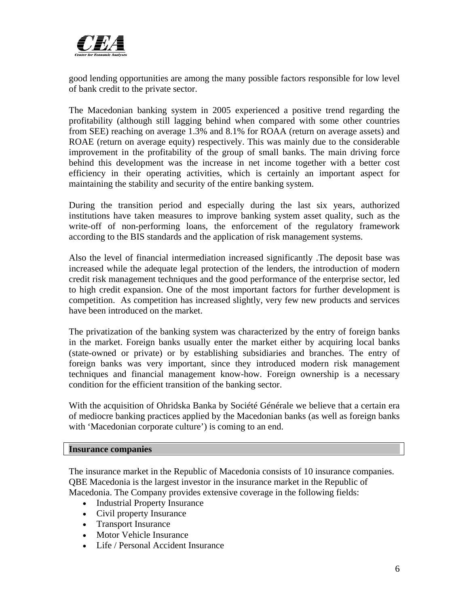

good lending opportunities are among the many possible factors responsible for low level of bank credit to the private sector.

The Macedonian banking system in 2005 experienced a positive trend regarding the profitability (although still lagging behind when compared with some other countries from SEE) reaching on average 1.3% and 8.1% for ROAA (return on average assets) and ROAE (return on average equity) respectively. This was mainly due to the considerable improvement in the profitability of the group of small banks. The main driving force behind this development was the increase in net income together with a better cost efficiency in their operating activities, which is certainly an important aspect for maintaining the stability and security of the entire banking system.

During the transition period and especially during the last six years, authorized institutions have taken measures to improve banking system asset quality, such as the write-off of non-performing loans, the enforcement of the regulatory framework according to the BIS standards and the application of risk management systems.

Also the level of financial intermediation increased significantly .The deposit base was increased while the adequate legal protection of the lenders, the introduction of modern credit risk management techniques and the good performance of the enterprise sector, led to high credit expansion. One of the most important factors for further development is competition. As competition has increased slightly, very few new products and services have been introduced on the market.

The privatization of the banking system was characterized by the entry of foreign banks in the market. Foreign banks usually enter the market either by acquiring local banks (state-owned or private) or by establishing subsidiaries and branches. The entry of foreign banks was very important, since they introduced modern risk management techniques and financial management know-how. Foreign ownership is a necessary condition for the efficient transition of the banking sector.

With the acquisition of Ohridska Banka by Société Générale we believe that a certain era of mediocre banking practices applied by the Macedonian banks (as well as foreign banks with 'Macedonian corporate culture') is coming to an end.

#### **Insurance companies**

The insurance market in the Republic of Macedonia consists of 10 insurance companies. QBE Macedonia is the largest investor in the insurance market in the Republic of Macedonia. The Company provides extensive coverage in the following fields:

- Industrial Property Insurance
- Civil property Insurance
- Transport Insurance
- Motor Vehicle Insurance
- Life / Personal Accident Insurance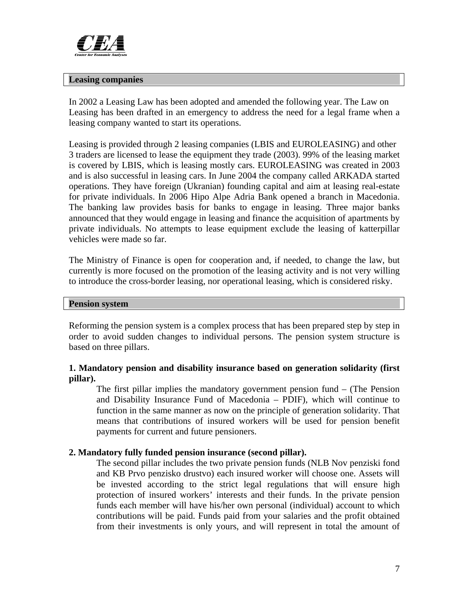

#### **Leasing companies**

In 2002 a Leasing Law has been adopted and amended the following year. The Law on Leasing has been drafted in an emergency to address the need for a legal frame when a leasing company wanted to start its operations.

Leasing is provided through 2 leasing companies (LBIS and EUROLEASING) and other 3 traders are licensed to lease the equipment they trade (2003). 99% of the leasing market is covered by LBIS, which is leasing mostly cars. EUROLEASING was created in 2003 and is also successful in leasing cars. In June 2004 the company called ARKADA started operations. They have foreign (Ukranian) founding capital and aim at leasing real-estate for private individuals. In 2006 Hipo Alpe Adria Bank opened a branch in Macedonia. The banking law provides basis for banks to engage in leasing. Three major banks announced that they would engage in leasing and finance the acquisition of apartments by private individuals. No attempts to lease equipment exclude the leasing of katterpillar vehicles were made so far.

The Ministry of Finance is open for cooperation and, if needed, to change the law, but currently is more focused on the promotion of the leasing activity and is not very willing to introduce the cross-border leasing, nor operational leasing, which is considered risky.

#### **Pension system**

Reforming the pension system is a complex process that has been prepared step by step in order to avoid sudden changes to individual persons. The pension system structure is based on three pillars.

# **1. Mandatory pension and disability insurance based on generation solidarity (first pillar).**

The first pillar implies the mandatory government pension fund – (The Pension and Disability Insurance Fund of Macedonia – PDIF), which will continue to function in the same manner as now on the principle of generation solidarity. That means that contributions of insured workers will be used for pension benefit payments for current and future pensioners.

# **2. Mandatory fully funded pension insurance (second pillar).**

The second pillar includes the two private pension funds (NLB Nov penziski fond and KB Prvo penzisko drustvo) each insured worker will choose one. Assets will be invested according to the strict legal regulations that will ensure high protection of insured workers' interests and their funds. In the private pension funds each member will have his/her own personal (individual) account to which contributions will be paid. Funds paid from your salaries and the profit obtained from their investments is only yours, and will represent in total the amount of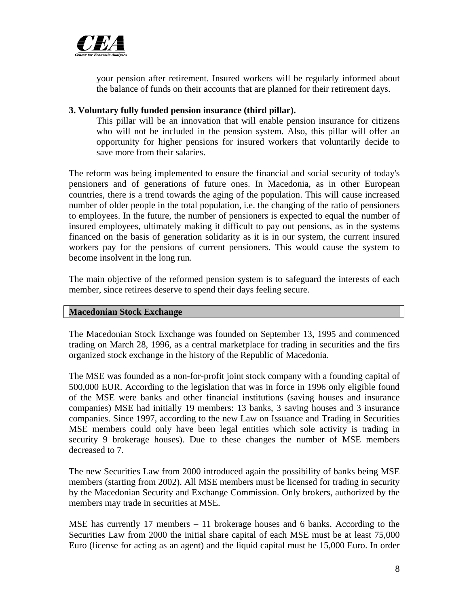

your pension after retirement. Insured workers will be regularly informed about the balance of funds on their accounts that are planned for their retirement days.

# **3. Voluntary fully funded pension insurance (third pillar).**

This pillar will be an innovation that will enable pension insurance for citizens who will not be included in the pension system. Also, this pillar will offer an opportunity for higher pensions for insured workers that voluntarily decide to save more from their salaries.

The reform was being implemented to ensure the financial and social security of today's pensioners and of generations of future ones. In Macedonia, as in other European countries, there is a trend towards the aging of the population. This will cause increased number of older people in the total population, i.e. the changing of the ratio of pensioners to employees. In the future, the number of pensioners is expected to equal the number of insured employees, ultimately making it difficult to pay out pensions, as in the systems financed on the basis of generation solidarity as it is in our system, the current insured workers pay for the pensions of current pensioners. This would cause the system to become insolvent in the long run.

The main objective of the reformed pension system is to safeguard the interests of each member, since retirees deserve to spend their days feeling secure.

#### **Macedonian Stock Exchange**

The Macedonian Stock Exchange was founded on September 13, 1995 and commenced trading on March 28, 1996, as a central marketplace for trading in securities and the firs organized stock exchange in the history of the Republic of Macedonia.

The MSE was founded as a non-for-profit joint stock company with a founding capital of 500,000 EUR. According to the legislation that was in force in 1996 only eligible found of the MSE were banks and other financial institutions (saving houses and insurance companies) MSE had initially 19 members: 13 banks, 3 saving houses and 3 insurance companies. Since 1997, according to the new Law on Issuance and Trading in Securities MSE members could only have been legal entities which sole activity is trading in security 9 brokerage houses). Due to these changes the number of MSE members decreased to 7.

The new Securities Law from 2000 introduced again the possibility of banks being MSE members (starting from 2002). All MSE members must be licensed for trading in security by the Macedonian Security and Exchange Commission. Only brokers, authorized by the members may trade in securities at MSE.

MSE has currently 17 members – 11 brokerage houses and 6 banks. According to the Securities Law from 2000 the initial share capital of each MSE must be at least 75,000 Euro (license for acting as an agent) and the liquid capital must be 15,000 Euro. In order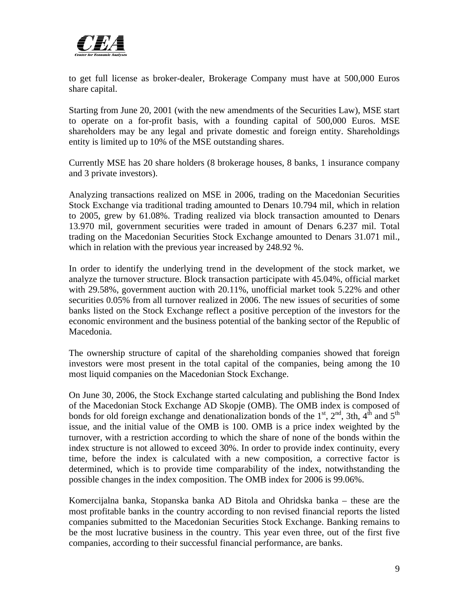

to get full license as broker-dealer, Brokerage Company must have at 500,000 Euros share capital.

Starting from June 20, 2001 (with the new amendments of the Securities Law), MSE start to operate on a for-profit basis, with a founding capital of 500,000 Euros. MSE shareholders may be any legal and private domestic and foreign entity. Shareholdings entity is limited up to 10% of the MSE outstanding shares.

Currently MSE has 20 share holders (8 brokerage houses, 8 banks, 1 insurance company and 3 private investors).

Analyzing transactions realized on MSE in 2006, trading on the Macedonian Securities Stock Exchange via traditional trading amounted to Denars 10.794 mil, which in relation to 2005, grew by 61.08%. Trading realized via block transaction amounted to Denars 13.970 mil, government securities were traded in amount of Denars 6.237 mil. Total trading on the Macedonian Securities Stock Exchange amounted to Denars 31.071 mil., which in relation with the previous year increased by 248.92 %.

In order to identify the underlying trend in the development of the stock market, we analyze the turnover structure. Block transaction participate with 45.04%, official market with 29.58%, government auction with 20.11%, unofficial market took 5.22% and other securities 0.05% from all turnover realized in 2006. The new issues of securities of some banks listed on the Stock Exchange reflect a positive perception of the investors for the economic environment and the business potential of the banking sector of the Republic of Macedonia.

The ownership structure of capital of the shareholding companies showed that foreign investors were most present in the total capital of the companies, being among the 10 most liquid companies on the Macedonian Stock Exchange.

On June 30, 2006, the Stock Exchange started calculating and publishing the Bond Index of the Macedonian Stock Exchange AD Skopje (OMB). The OMB index is composed of bonds for old foreign exchange and denationalization bonds of the  $1<sup>st</sup>$ ,  $2<sup>nd</sup>$ , 3th,  $4<sup>th</sup>$  and  $5<sup>th</sup>$ issue, and the initial value of the OMB is 100. OMB is a price index weighted by the turnover, with a restriction according to which the share of none of the bonds within the index structure is not allowed to exceed 30%. In order to provide index continuity, every time, before the index is calculated with a new composition, a corrective factor is determined, which is to provide time comparability of the index, notwithstanding the possible changes in the index composition. The OMB index for 2006 is 99.06%.

Komercijalna banka, Stopanska banka AD Bitola and Ohridska banka – these are the most profitable banks in the country according to non revised financial reports the listed companies submitted to the Macedonian Securities Stock Exchange. Banking remains to be the most lucrative business in the country. This year even three, out of the first five companies, according to their successful financial performance, are banks.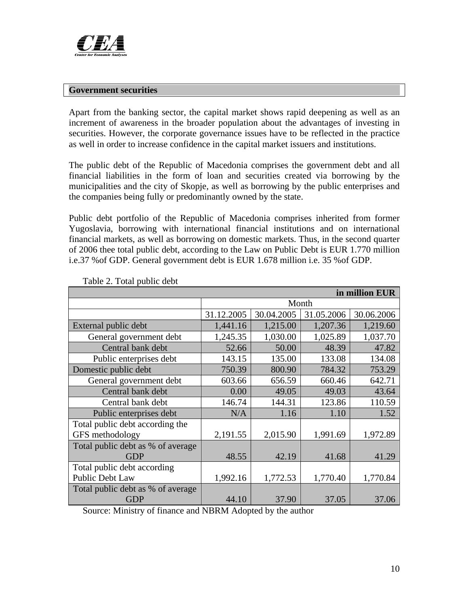

# **Government securities**

Apart from the banking sector, the capital market shows rapid deepening as well as an increment of awareness in the broader population about the advantages of investing in securities. However, the corporate governance issues have to be reflected in the practice as well in order to increase confidence in the capital market issuers and institutions.

The public debt of the Republic of Macedonia comprises the government debt and all financial liabilities in the form of loan and securities created via borrowing by the municipalities and the city of Skopje, as well as borrowing by the public enterprises and the companies being fully or predominantly owned by the state.

Public debt portfolio of the Republic of Macedonia comprises inherited from former Yugoslavia, borrowing with international financial institutions and on international financial markets, as well as borrowing on domestic markets. Thus, in the second quarter of 2006 thee total public debt, according to the Law on Public Debt is EUR 1.770 million i.e.37 %of GDP. General government debt is EUR 1.678 million i.e. 35 %of GDP.

| in million EUR                    |            |            |            |            |  |
|-----------------------------------|------------|------------|------------|------------|--|
|                                   | Month      |            |            |            |  |
|                                   | 31.12.2005 | 30.04.2005 | 31.05.2006 | 30.06.2006 |  |
| External public debt              | 1,441.16   | 1,215.00   | 1,207.36   | 1,219.60   |  |
| General government debt           | 1,245.35   | 1,030.00   | 1,025.89   | 1,037.70   |  |
| Central bank debt                 | 52.66      | 50.00      | 48.39      | 47.82      |  |
| Public enterprises debt           | 143.15     | 135.00     | 133.08     | 134.08     |  |
| Domestic public debt              | 750.39     | 800.90     | 784.32     | 753.29     |  |
| General government debt           | 603.66     | 656.59     | 660.46     | 642.71     |  |
| Central bank debt                 | 0.00       | 49.05      | 49.03      | 43.64      |  |
| Central bank debt                 | 146.74     | 144.31     | 123.86     | 110.59     |  |
| Public enterprises debt           | N/A        | 1.16       | 1.10       | 1.52       |  |
| Total public debt according the   |            |            |            |            |  |
| GFS methodology                   | 2,191.55   | 2,015.90   | 1,991.69   | 1,972.89   |  |
| Total public debt as % of average |            |            |            |            |  |
| <b>GDP</b>                        | 48.55      | 42.19      | 41.68      | 41.29      |  |
| Total public debt according       |            |            |            |            |  |
| <b>Public Debt Law</b>            | 1,992.16   | 1,772.53   | 1,770.40   | 1,770.84   |  |
| Total public debt as % of average |            |            |            |            |  |
| <b>GDP</b>                        | 44.10      | 37.90      | 37.05      | 37.06      |  |

Table 2. Total public debt

Source: Ministry of finance and NBRM Adopted by the author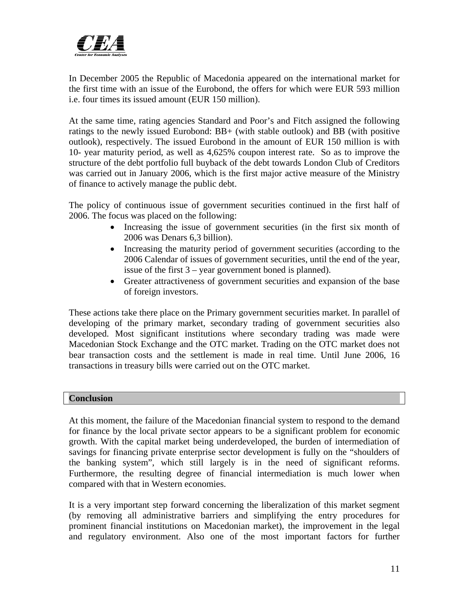

In December 2005 the Republic of Macedonia appeared on the international market for the first time with an issue of the Eurobond, the offers for which were EUR 593 million i.e. four times its issued amount (EUR 150 million).

At the same time, rating agencies Standard and Poor's and Fitch assigned the following ratings to the newly issued Eurobond: BB+ (with stable outlook) and BB (with positive outlook), respectively. The issued Eurobond in the amount of EUR 150 million is with 10- year maturity period, as well as 4,625% coupon interest rate. So as to improve the structure of the debt portfolio full buyback of the debt towards London Club of Creditors was carried out in January 2006, which is the first major active measure of the Ministry of finance to actively manage the public debt.

The policy of continuous issue of government securities continued in the first half of 2006. The focus was placed on the following:

- Increasing the issue of government securities (in the first six month of 2006 was Denars 6,3 billion).
- Increasing the maturity period of government securities (according to the 2006 Calendar of issues of government securities, until the end of the year, issue of the first 3 – year government boned is planned).
- Greater attractiveness of government securities and expansion of the base of foreign investors.

These actions take there place on the Primary government securities market. In parallel of developing of the primary market, secondary trading of government securities also developed. Most significant institutions where secondary trading was made were Macedonian Stock Exchange and the OTC market. Trading on the OTC market does not bear transaction costs and the settlement is made in real time. Until June 2006, 16 transactions in treasury bills were carried out on the OTC market.

# **Conclusion**

At this moment, the failure of the Macedonian financial system to respond to the demand for finance by the local private sector appears to be a significant problem for economic growth. With the capital market being underdeveloped, the burden of intermediation of savings for financing private enterprise sector development is fully on the "shoulders of the banking system", which still largely is in the need of significant reforms. Furthermore, the resulting degree of financial intermediation is much lower when compared with that in Western economies.

It is a very important step forward concerning the liberalization of this market segment (by removing all administrative barriers and simplifying the entry procedures for prominent financial institutions on Macedonian market), the improvement in the legal and regulatory environment. Also one of the most important factors for further